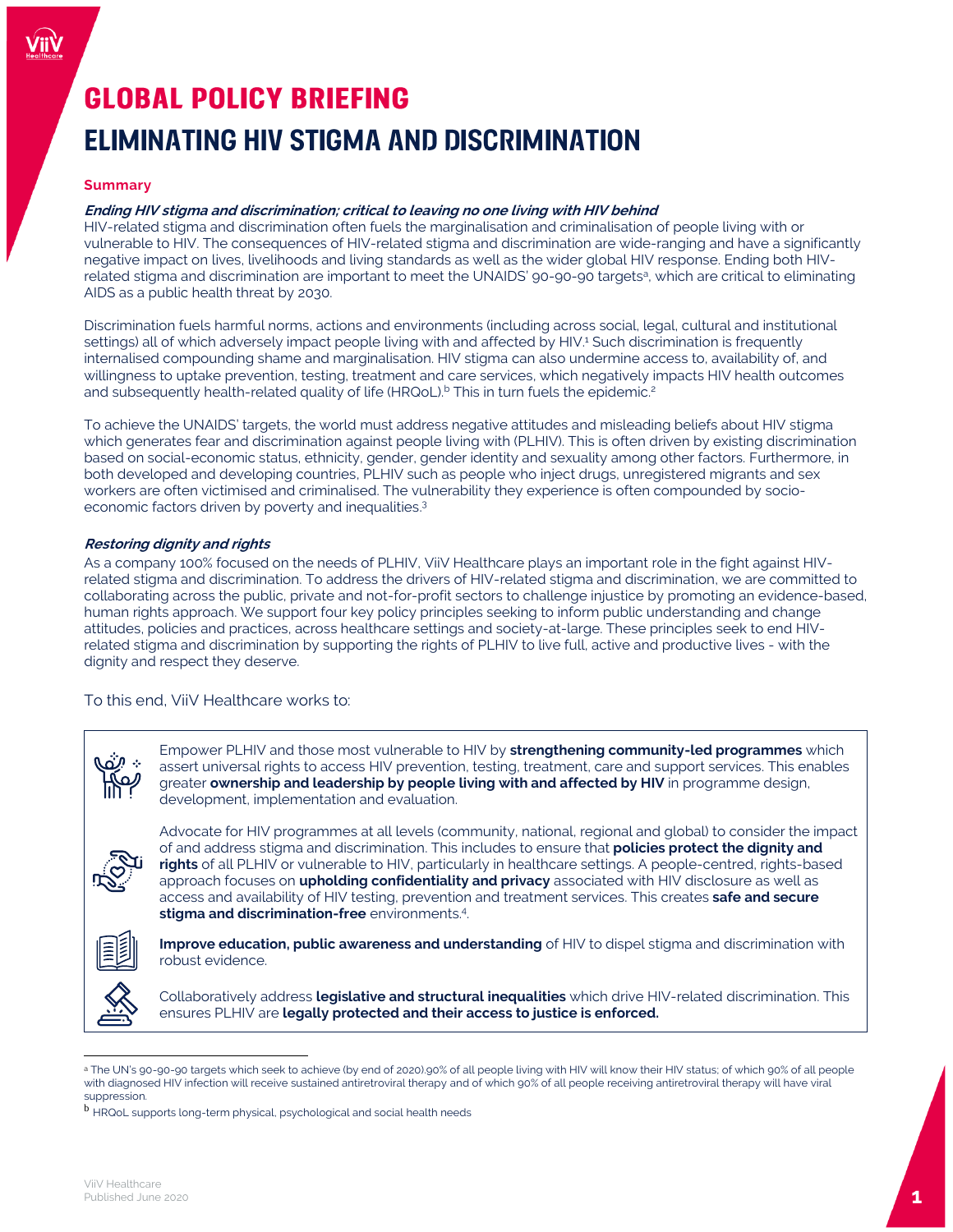# **GLOBAL POLICY BRIEFING** ELIMINATING HIV STIGMA AND DISCRIMINATION

# **Summary**

# **Ending HIV stigma and discrimination; critical to leaving no one living with HIV behind**

HIV-related stigma and discrimination often fuels the marginalisation and criminalisation of people living with or vulnerable to HIV. The consequences of HIV-related stigma and discrimination are wide-ranging and have a significantly negative impact on lives, livelihoods and living standards as well as the wider global HIV response. Ending both HIVrelated stigma and discrimination are important to meet the UNAIDS' 90-90-90 targets<sup>a</sup>, which are critical to eliminating AIDS as a public health threat by 2030.

Discrimination fuels harmful norms, actions and environments (including across social, legal, cultural and institutional settings) all of which adversely impact people living with and affected by HIV.<sup>1</sup> Such discrimination is frequently internalised compounding shame and marginalisation. HIV stigma can also undermine access to, availability of, and willingness to uptake prevention, testing, treatment and care services, which negatively impacts HIV health outcomes and subsequently health-related quality of life (HRQoL).<sup>b</sup> This in turn fuels the epidemic.<sup>2</sup>

To achieve the UNAIDS' targets, the world must address negative attitudes and misleading beliefs about HIV stigma which generates fear and discrimination against people living with (PLHIV). This is often driven by existing discrimination based on social-economic status, ethnicity, gender, gender identity and sexuality among other factors. Furthermore, in both developed and developing countries, PLHIV such as people who inject drugs, unregistered migrants and sex workers are often victimised and criminalised. The vulnerability they experience is often compounded by socioeconomic factors driven by poverty and inequalities.<sup>3</sup>

# **Restoring dignity and rights**

As a company 100% focused on the needs of PLHIV, ViiV Healthcare plays an important role in the fight against HIVrelated stigma and discrimination. To address the drivers of HIV-related stigma and discrimination, we are committed to collaborating across the public, private and not-for-profit sectors to challenge injustice by promoting an evidence-based, human rights approach. We support four key policy principles seeking to inform public understanding and change attitudes, policies and practices, across healthcare settings and society-at-large. These principles seek to end HIVrelated stigma and discrimination by supporting the rights of PLHIV to live full, active and productive lives - with the dignity and respect they deserve.

To this end, ViiV Healthcare works to:



Empower PLHIV and those most vulnerable to HIV by **strengthening community-led programmes** which assert universal rights to access HIV prevention, testing, treatment, care and support services. This enables greater **ownership and leadership by people living with and affected by HIV** in programme design, development, implementation and evaluation.



Advocate for HIV programmes at all levels (community, national, regional and global) to consider the impact of and address stigma and discrimination. This includes to ensure that **policies protect the dignity and rights** of all PLHIV or vulnerable to HIV, particularly in healthcare settings. A people-centred, rights-based approach focuses on **upholding confidentiality and privacy** associated with HIV disclosure as well as access and availability of HIV testing, prevention and treatment services. This creates **safe and secure stigma and discrimination-free** environments.<sup>4</sup> .



**Improve education, public awareness and understanding** of HIV to dispel stigma and discrimination with robust evidence.



 $\overline{a}$ 

Collaboratively address **legislative and structural inequalities** which drive HIV-related discrimination. This ensures PLHIV are **legally protected and their access to justice is enforced.** 

a The UN's 90-90-90 targets which seek to achieve (by end of 2020).90% of all people living with HIV will know their HIV status; of which 90% of all people with diagnosed HIV infection will receive sustained antiretroviral therapy and of which 90% of all people receiving antiretroviral therapy will have viral suppression.

b HRQoL supports long-term physical, psychological and social health needs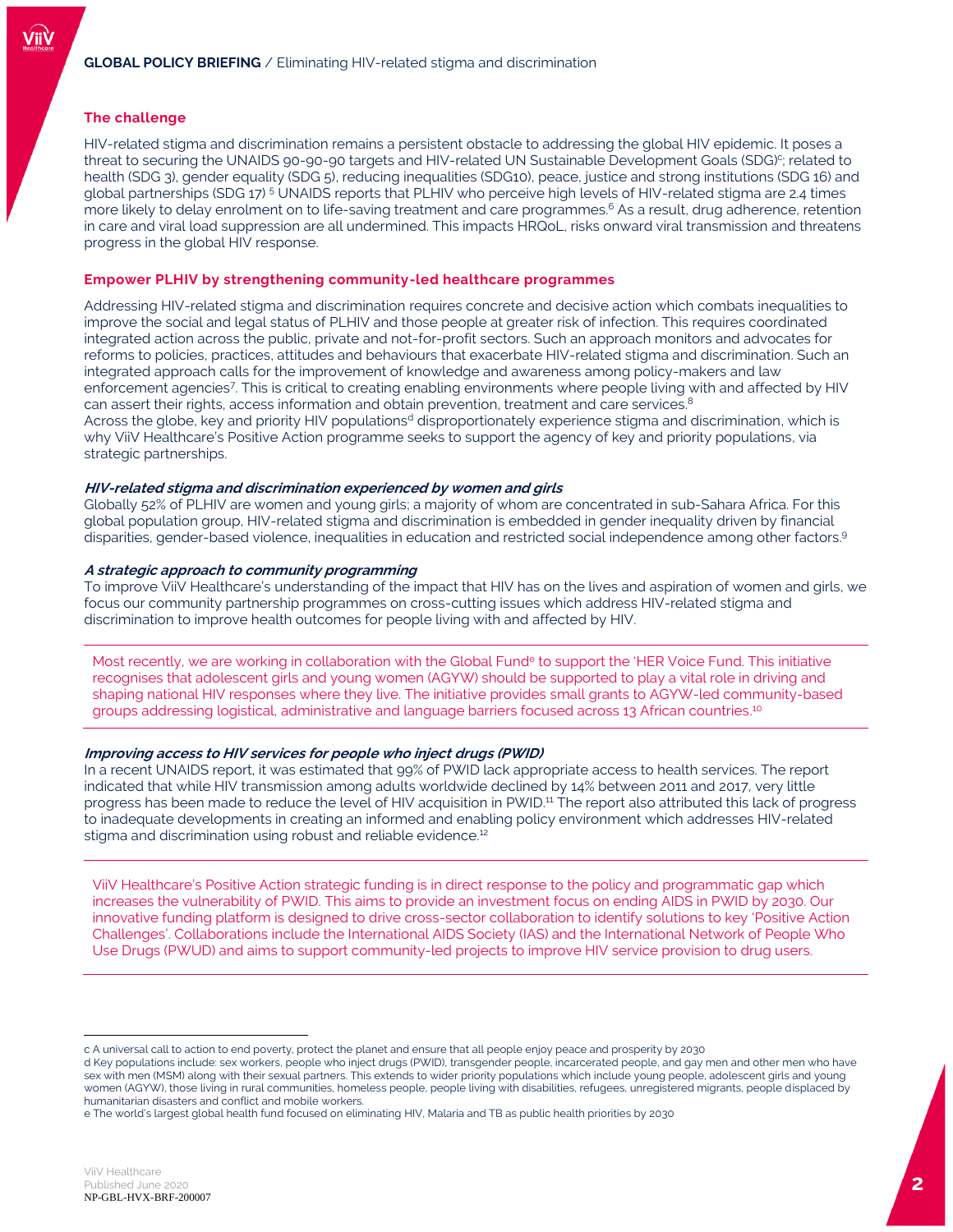# **The challenge**

HIV-related stigma and discrimination remains a persistent obstacle to addressing the global HIV epidemic. It poses a threat to securing the UNAIDS 90-90-90 targets and HIV-related UN Sustainable Development Goals (SDG) c ; related to health (SDG 3), gender equality (SDG 5), reducing inequalities (SDG10), peace, justice and strong institutions (SDG 16) and global partnerships (SDG 17) <sup>5</sup> UNAIDS reports that PLHIV who perceive high levels of HIV-related stigma are 2.4 times more likely to delay enrolment on to life-saving treatment and care programmes. <sup>6</sup> As a result, drug adherence, retention in care and viral load suppression are all undermined. This impacts HRQoL, risks onward viral transmission and threatens progress in the global HIV response.

# **Empower PLHIV by strengthening community-led healthcare programmes**

Addressing HIV-related stigma and discrimination requires concrete and decisive action which combats inequalities to improve the social and legal status of PLHIV and those people at greater risk of infection. This requires coordinated integrated action across the public, private and not-for-profit sectors. Such an approach monitors and advocates for reforms to policies, practices, attitudes and behaviours that exacerbate HIV-related stigma and discrimination. Such an integrated approach calls for the improvement of knowledge and awareness among policy-makers and law enforcement agencies<sup>7</sup> . This is critical to creating enabling environments where people living with and affected by HIV can assert their rights, access information and obtain prevention, treatment and care services.<sup>8</sup> Across the globe, key and priority HIV populations<sup>d</sup> disproportionately experience stigma and discrimination, which is why ViiV Healthcare's Positive Action programme seeks to support the agency of key and priority populations, via strategic partnerships.

#### **HIV-related stigma and discrimination experienced by women and girls**

Globally 52% of PLHIV are women and young girls; a majority of whom are concentrated in sub-Sahara Africa. For this global population group, HIV-related stigma and discrimination is embedded in gender inequality driven by financial disparities, gender-based violence, inequalities in education and restricted social independence among other factors. 9

## **A strategic approach to community programming**

To improve ViiV Healthcare's understanding of the impact that HIV has on the lives and aspiration of women and girls, we focus our community partnership programmes on cross-cutting issues which address HIV-related stigma and discrimination to improve health outcomes for people living with and affected by HIV.

Most recently, we are working in collaboration with the Global Fund<sup>e</sup> to support the 'HER Voice Fund. This initiative recognises that adolescent girls and young women (AGYW) should be supported to play a vital role in driving and shaping national HIV responses where they live. The initiative provides small grants to AGYW-led community-based groups addressing logistical, administrative and language barriers focused across 13 African countries.<sup>10</sup>

## **Improving access to HIV services for people who inject drugs (PWID)**

In a recent UNAIDS report, it was estimated that 99% of PWID lack appropriate access to health services. The report indicated that while HIV transmission among adults worldwide declined by 14% between 2011 and 2017, very little progress has been made to reduce the level of HIV acquisition in PWID.<sup>11</sup> The report also attributed this lack of progress to inadequate developments in creating an informed and enabling policy environment which addresses HIV-related stigma and discrimination using robust and reliable evidence.<sup>12</sup>

ViiV Healthcare's Positive Action strategic funding is in direct response to the policy and programmatic gap which increases the vulnerability of PWID. This aims to provide an investment focus on ending AIDS in PWID by 2030. Our innovative funding platform is designed to drive cross-sector collaboration to identify solutions to key 'Positive Action Challenges'. Collaborations include the International AIDS Society (IAS) and the International Network of People Who Use Drugs (PWUD) and aims to support community-led projects to improve HIV service provision to drug users.

 $\overline{a}$ 

c A universal call to action to end poverty, protect the planet and ensure that all people enjoy peace and prosperity by 2030

d Key populations include: sex workers, people who inject drugs (PWID), transgender people, incarcerated people, and gay men and other men who have sex with men (MSM) along with their sexual partners. This extends to wider priority populations which include young people, adolescent girls and young women (AGYW), those living in rural communities, homeless people, people living with disabilities, refugees, unregistered migrants, people displaced by humanitarian disasters and conflict and mobile workers.

e The world's largest global health fund focused on eliminating HIV, Malaria and TB as public health priorities by 2030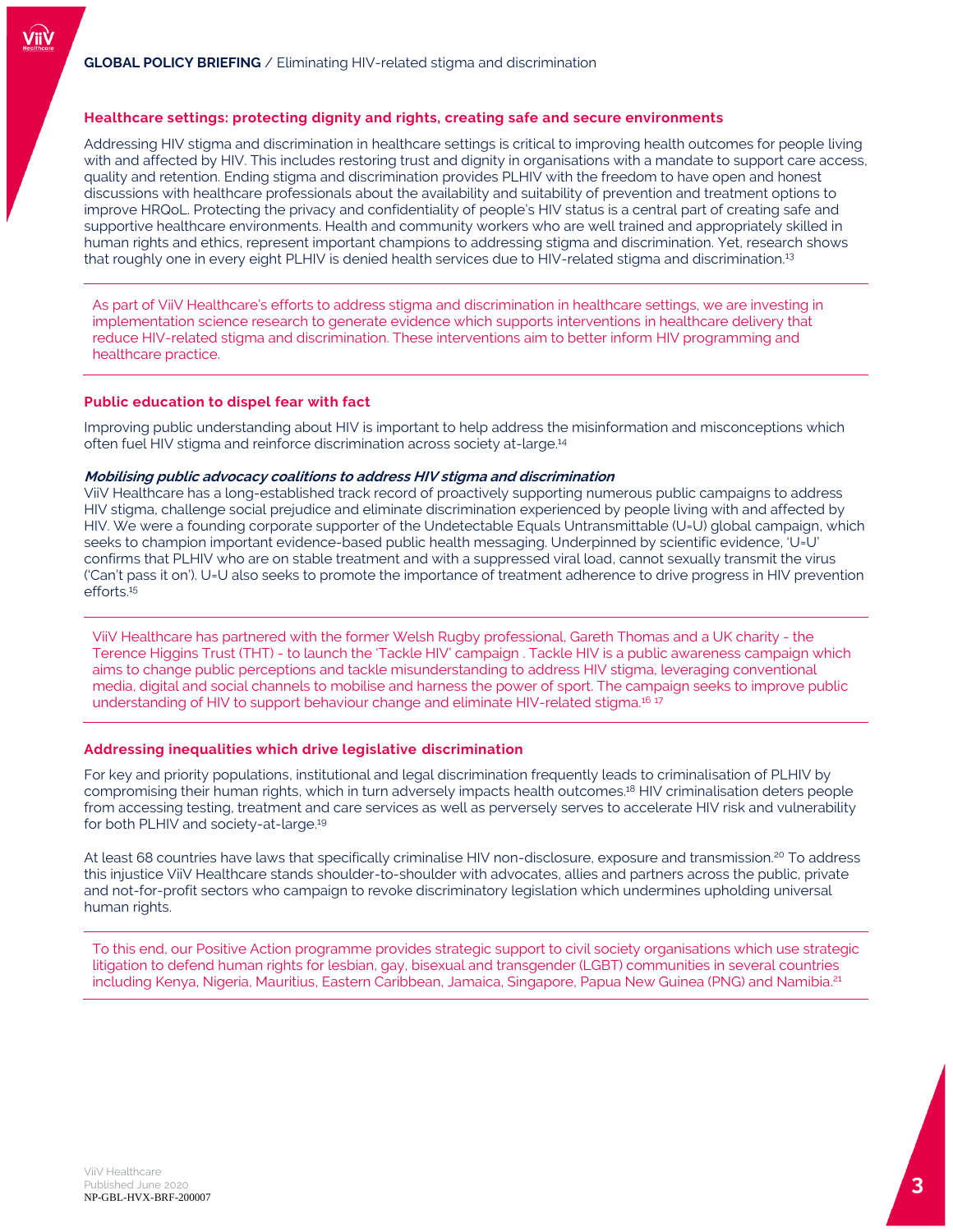# **Healthcare settings: protecting dignity and rights, creating safe and secure environments**

Addressing HIV stigma and discrimination in healthcare settings is critical to improving health outcomes for people living with and affected by HIV. This includes restoring trust and dignity in organisations with a mandate to support care access, quality and retention. Ending stigma and discrimination provides PLHIV with the freedom to have open and honest discussions with healthcare professionals about the availability and suitability of prevention and treatment options to improve HRQoL. Protecting the privacy and confidentiality of people's HIV status is a central part of creating safe and supportive healthcare environments. Health and community workers who are well trained and appropriately skilled in human rights and ethics, represent important champions to addressing stigma and discrimination. Yet, research shows that roughly one in every eight PLHIV is denied health services due to HIV-related stigma and discrimination.<sup>13</sup>

As part of ViiV Healthcare's efforts to address stigma and discrimination in healthcare settings, we are investing in implementation science research to generate evidence which supports interventions in healthcare delivery that reduce HIV-related stigma and discrimination. These interventions aim to better inform HIV programming and healthcare practice.

#### **Public education to dispel fear with fact**

Improving public understanding about HIV is important to help address the misinformation and misconceptions which often fuel HIV stigma and reinforce discrimination across society at-large.<sup>14</sup>

## **Mobilising public advocacy coalitions to address HIV stigma and discrimination**

ViiV Healthcare has a long-established track record of proactively supporting numerous public campaigns to address HIV stigma, challenge social prejudice and eliminate discrimination experienced by people living with and affected by HIV. We were a founding corporate supporter of the Undetectable Equals Untransmittable (U=U) global campaign, which seeks to champion important evidence-based public health messaging. Underpinned by scientific evidence, 'U=U' confirms that PLHIV who are on stable treatment and with a suppressed viral load, cannot sexually transmit the virus ('Can't pass it on'). U=U also seeks to promote the importance of treatment adherence to drive progress in HIV prevention efforts. 15

ViiV Healthcare has partnered with the former Welsh Rugby professional, Gareth Thomas and a UK charity - the Terence Higgins Trust (THT) - to launch the 'Tackle HIV' campaign . Tackle HIV is a public awareness campaign which aims to change public perceptions and tackle misunderstanding to address HIV stigma, leveraging conventional media, digital and social channels to mobilise and harness the power of sport. The campaign seeks to improve public understanding of HIV to support behaviour change and eliminate HIV-related stigma.<sup>16</sup> <sup>17</sup>

# **Addressing inequalities which drive legislative discrimination**

For key and priority populations, institutional and legal discrimination frequently leads to criminalisation of PLHIV by compromising their human rights, which in turn adversely impacts health outcomes. <sup>18</sup> HIV criminalisation deters people from accessing testing, treatment and care services as well as perversely serves to accelerate HIV risk and vulnerability for both PLHIV and society-at-large.<sup>19</sup>

At least 68 countries have laws that specifically criminalise HIV non-disclosure, exposure and transmission.<sup>20</sup> To address this injustice ViiV Healthcare stands shoulder-to-shoulder with advocates, allies and partners across the public, private and not-for-profit sectors who campaign to revoke discriminatory legislation which undermines upholding universal human rights.

To this end, our Positive Action programme provides strategic support to civil society organisations which use strategic litigation to defend human rights for lesbian, gay, bisexual and transgender (LGBT) communities in several countries including Kenya, Nigeria, Mauritius, Eastern Caribbean, Jamaica, Singapore, Papua New Guinea (PNG) and Namibia. 21